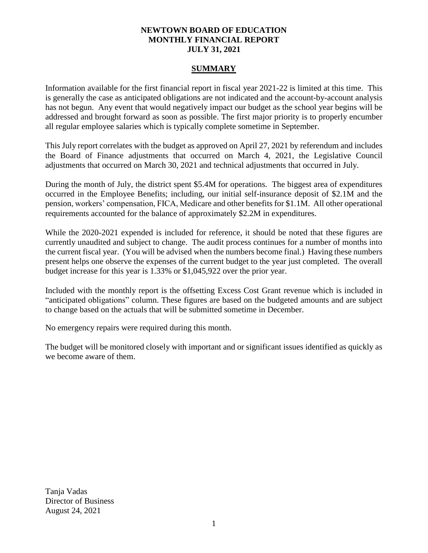# **NEWTOWN BOARD OF EDUCATION MONTHLY FINANCIAL REPORT JULY 31, 2021**

## **SUMMARY**

Information available for the first financial report in fiscal year 2021-22 is limited at this time. This is generally the case as anticipated obligations are not indicated and the account-by-account analysis has not begun. Any event that would negatively impact our budget as the school year begins will be addressed and brought forward as soon as possible. The first major priority is to properly encumber all regular employee salaries which is typically complete sometime in September.

This July report correlates with the budget as approved on April 27, 2021 by referendum and includes the Board of Finance adjustments that occurred on March 4, 2021, the Legislative Council adjustments that occurred on March 30, 2021 and technical adjustments that occurred in July.

During the month of July, the district spent \$5.4M for operations. The biggest area of expenditures occurred in the Employee Benefits; including, our initial self-insurance deposit of \$2.1M and the pension, workers' compensation, FICA, Medicare and other benefits for \$1.1M. All other operational requirements accounted for the balance of approximately \$2.2M in expenditures.

While the 2020-2021 expended is included for reference, it should be noted that these figures are currently unaudited and subject to change. The audit process continues for a number of months into the current fiscal year. (You will be advised when the numbers become final.) Having these numbers present helps one observe the expenses of the current budget to the year just completed. The overall budget increase for this year is 1.33% or \$1,045,922 over the prior year.

Included with the monthly report is the offsetting Excess Cost Grant revenue which is included in "anticipated obligations" column. These figures are based on the budgeted amounts and are subject to change based on the actuals that will be submitted sometime in December.

No emergency repairs were required during this month.

The budget will be monitored closely with important and or significant issues identified as quickly as we become aware of them.

Tanja Vadas Director of Business August 24, 2021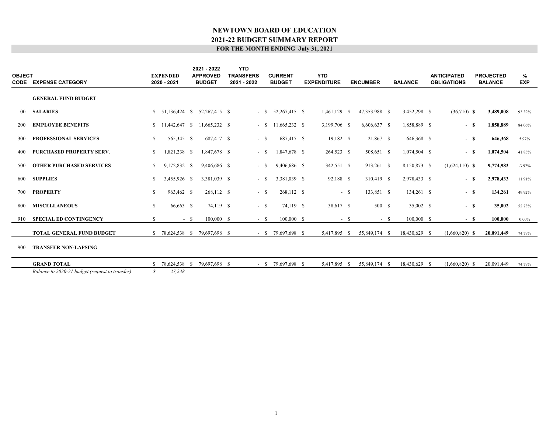| <b>OBJECT</b> | <b>CODE EXPENSE CATEGORY</b>                    |               | <b>EXPENDED</b><br>2020 - 2021 |        | 2021 - 2022<br><b>APPROVED</b><br><b>BUDGET</b> | <b>YTD</b><br><b>TRANSFERS</b><br>2021 - 2022 |        | <b>CURRENT</b><br><b>BUDGET</b> | <b>YTD</b><br><b>EXPENDITURE</b> |        | <b>ENCUMBER</b> |       | <b>BALANCE</b> | <b>ANTICIPATED</b><br><b>OBLIGATIONS</b> | <b>PROJECTED</b><br><b>BALANCE</b> | %<br><b>EXP</b> |  |
|---------------|-------------------------------------------------|---------------|--------------------------------|--------|-------------------------------------------------|-----------------------------------------------|--------|---------------------------------|----------------------------------|--------|-----------------|-------|----------------|------------------------------------------|------------------------------------|-----------------|--|
|               | <b>GENERAL FUND BUDGET</b>                      |               |                                |        |                                                 |                                               |        |                                 |                                  |        |                 |       |                |                                          |                                    |                 |  |
| 100           | <b>SALARIES</b>                                 |               |                                |        | $$51,136,424$ $$52,267,415$ $$$                 |                                               | $-$ S  | 52,267,415 \$                   | 1,461,129 \$                     |        | 47,353,988 \$   |       | 3,452,298 \$   | $(36,710)$ <b>S</b>                      | 3,489,008                          | 93.32%          |  |
| 200           | <b>EMPLOYEE BENEFITS</b>                        |               |                                |        | $$11,442,647$ $$11,665,232$ \$                  |                                               | $-$ \$ | 11.665.232 \$                   | 3,199,706 \$                     |        | 6,606,637 \$    |       | 1,858,889 \$   | - S                                      | 1,858,889                          | 84.06%          |  |
| 300           | <b>PROFESSIONAL SERVICES</b>                    | <sup>\$</sup> | 565,345 \$                     |        | 687,417 \$                                      |                                               | $-$ \$ | 687,417 \$                      | $19,182$ \$                      |        | 21,867 \$       |       | 646,368 \$     | - \$                                     | 646,368                            | 5.97%           |  |
| 400           | <b>PURCHASED PROPERTY SERV.</b>                 | S.            | 1,821,238 \$                   |        | 1,847,678 \$                                    |                                               | $- S$  | 1,847,678 \$                    | 264,523 \$                       |        | 508,651 \$      |       | 1,074,504 \$   | - S                                      | 1,074,504                          | 41.85%          |  |
| 500           | <b>OTHER PURCHASED SERVICES</b>                 | <sup>\$</sup> | 9,172,832 \$                   |        | 9,406,686 \$                                    |                                               | $-$ \$ | 9,406,686 \$                    | 342,551 \$                       |        | 913,261 \$      |       | 8,150,873 \$   | $(1,624,110)$ <b>S</b>                   | 9,774,983                          | $-3.92%$        |  |
| 600           | <b>SUPPLIES</b>                                 | <sup>\$</sup> | 3.455.926 \$                   |        | 3.381.039 \$                                    |                                               | $-$ \$ | 3.381.039 \$                    | 92,188 \$                        |        | 310,419 \$      |       | 2,978,433 \$   | $-$ S                                    | 2,978,433                          | 11.91%          |  |
| 700           | <b>PROPERTY</b>                                 | <sup>S</sup>  | 963,462 \$                     |        | 268,112 \$                                      |                                               | $-$ \$ | 268,112 \$                      |                                  | $-$ \$ | 133,851 \$      |       | 134,261 \$     | $-$ S                                    | 134,261                            | 49.92%          |  |
| 800           | <b>MISCELLANEOUS</b>                            | \$            | 66,663 \$                      |        | 74,119 \$                                       |                                               | $-$ \$ | 74,119 \$                       | 38,617 \$                        |        | 500 \$          |       | 35,002 \$      | $-$ \$                                   | 35,002                             | 52.78%          |  |
| 910           | <b>SPECIAL ED CONTINGENCY</b>                   | \$            |                                | $-$ \$ | $100,000$ \$                                    |                                               | $-$ \$ | $100,000$ \$                    |                                  | $-$ \$ |                 | $- S$ | 100,000 \$     | $-$ S                                    | 100,000                            | $0.00\%$        |  |
|               | TOTAL GENERAL FUND BUDGET                       |               |                                |        | \$ 78,624,538 \$ 79,697,698 \$                  |                                               |        | $-$ \$ 79,697,698 \$            | 5,417,895 \$                     |        | 55,849,174 \$   |       | 18,430,629 \$  | $(1,660,820)$ \$                         | 20,091,449                         | 74.79%          |  |
| 900           | <b>TRANSFER NON-LAPSING</b>                     |               |                                |        |                                                 |                                               |        |                                 |                                  |        |                 |       |                |                                          |                                    |                 |  |
|               | <b>GRAND TOTAL</b>                              | $\mathbf{S}$  | 78,624,538 \$                  |        | 79.697.698 \$                                   |                                               |        | $-$ \$ 79,697,698 \$            | 5,417,895 \$                     |        | 55,849,174 \$   |       | 18,430,629 \$  | $(1,660,820)$ \$                         | 20,091,449                         | 74.79%          |  |
|               | Balance to 2020-21 budget (request to transfer) | $\mathcal{S}$ | 27,238                         |        |                                                 |                                               |        |                                 |                                  |        |                 |       |                |                                          |                                    |                 |  |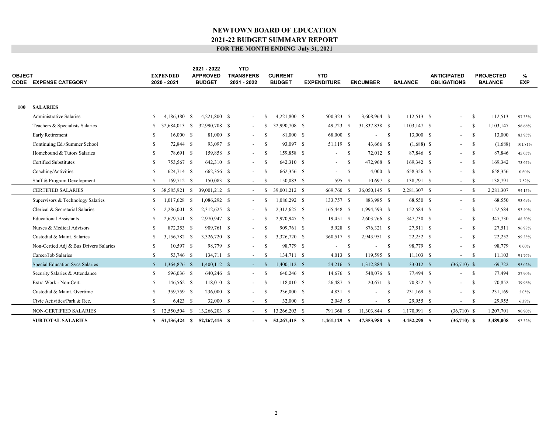| <b>OBJECT</b> | <b>CODE EXPENSE CATEGORY</b>           |               | <b>EXPENDED</b><br>2020 - 2021 |            | 2021 - 2022<br><b>APPROVED</b><br><b>BUDGET</b> | <b>YTD</b><br><b>TRANSFERS</b><br>2021 - 2022 |               | <b>CURRENT</b><br><b>BUDGET</b> | <b>YTD</b><br><b>EXPENDITURE</b> |     | <b>ENCUMBER</b> |     | <b>BALANCE</b> | <b>ANTICIPATED</b><br><b>OBLIGATIONS</b> |      | <b>PROJECTED</b><br><b>BALANCE</b> | %<br><b>EXP</b> |  |
|---------------|----------------------------------------|---------------|--------------------------------|------------|-------------------------------------------------|-----------------------------------------------|---------------|---------------------------------|----------------------------------|-----|-----------------|-----|----------------|------------------------------------------|------|------------------------------------|-----------------|--|
|               |                                        |               |                                |            |                                                 |                                               |               |                                 |                                  |     |                 |     |                |                                          |      |                                    |                 |  |
| 100           | <b>SALARIES</b>                        |               |                                |            |                                                 |                                               |               |                                 |                                  |     |                 |     |                |                                          |      |                                    |                 |  |
|               | <b>Administrative Salaries</b>         | -S            | 4,186,380 \$                   |            | 4.221.800 \$                                    |                                               |               | 4.221.800 \$                    | 500,323 \$                       |     | 3.608.964 \$    |     | 112.513 \$     |                                          | -S   | 112,513                            | 97.33%          |  |
|               | Teachers & Specialists Salaries        | S             | 32,684,013 \$                  |            | 32,990,708 \$                                   | $\sim$                                        | -S            | 32,990,708 \$                   | 49,723 \$                        |     | 31,837,838 \$   |     | 1,103,147 \$   |                                          | -S   | 1,103,147                          | 96.66%          |  |
|               | Early Retirement                       | -S            | 16,000 S                       |            | 81,000 \$                                       | $\sim$                                        | <sup>\$</sup> | 81,000 \$                       | 68,000 \$                        |     |                 | - S | 13,000 \$      |                                          | -S   | 13,000                             | 83.95%          |  |
|               | Continuing Ed./Summer School           | S.            | 72,844 \$                      |            | 93,097 \$                                       | $\sim$                                        | -S            | 93,097 \$                       | 51,119 \$                        |     | 43,666 \$       |     | $(1,688)$ \$   |                                          | -S   | (1,688)                            | 101.81%         |  |
|               | Homebound & Tutors Salaries            | S.            | 78,691 \$                      |            | 159,858 \$                                      | $\sim$                                        | - \$          | 159,858 \$                      |                                  | - S | 72,012 \$       |     | 87,846 \$      |                                          | -S   | 87,846                             | 45.05%          |  |
|               | Certified Substitutes                  | <sup>\$</sup> | 753,567 \$                     |            | 642,310 \$                                      | $\sim$                                        | -S            | 642,310 \$                      | $\overline{\phantom{a}}$         | -S  | 472,968 \$      |     | 169,342 \$     |                                          | -S   | 169,342                            | 73.64%          |  |
|               | Coaching/Activities                    | \$            | 624,714 \$                     |            | 662,356 \$                                      | $\sim$                                        | <sup>\$</sup> | 662,356 \$                      | $\overline{\phantom{a}}$         | -S  | 4,000S          |     | 658,356 \$     |                                          | -S   | 658,356                            | $0.60\%$        |  |
|               | Staff & Program Development            | $\mathbb{S}$  | 169,712 \$                     |            | 150,083 \$                                      | $\sim$                                        | -S            | 150,083 \$                      | 595 \$                           |     | 10,697 \$       |     | 138,791 \$     | $\sim$                                   | -S   | 138,791                            | 7.52%           |  |
|               | <b>CERTIFIED SALARIES</b>              | <sup>\$</sup> | 38,585,921 \$                  |            | 39,001,212 \$                                   |                                               | -S            | 39,001,212 \$                   | 669,760 \$                       |     | 36,050,145 \$   |     | 2,281,307 \$   | $\sim$                                   | -\$  | 2,281,307                          | 94.15%          |  |
|               | Supervisors & Technology Salaries      | $\mathbb{S}$  | 1,017,628 \$                   |            | 1,086,292 \$                                    | $\overline{\phantom{a}}$                      | <sup>\$</sup> | 1.086.292 \$                    | 133,757 \$                       |     | 883,985 \$      |     | 68,550 \$      | $\sim$                                   | -S   | 68,550                             | 93.69%          |  |
|               | Clerical & Secretarial Salaries        | \$.           | 2,286,001                      | - \$       | 2,312,625 \$                                    | $\sim$                                        |               | 2.312.625 \$                    | 165,448 \$                       |     | 1,994,593 \$    |     | 152,584 \$     |                                          | -S   | 152,584                            | 93.40%          |  |
|               | <b>Educational Assistants</b>          | -S            | 2,679,741 \$                   |            | 2,970,947 \$                                    | $\sim$                                        | <sup>\$</sup> | 2,970,947 \$                    | 19,451 \$                        |     | 2,603,766 \$    |     | 347,730 \$     |                                          | -S   | 347,730                            | 88.30%          |  |
|               | Nurses & Medical Advisors              | -S            | 872,353 \$                     |            | 909.761 \$                                      | $\sim$                                        | <sup>\$</sup> | 909.761 \$                      | 5,928 \$                         |     | 876,321 \$      |     | 27,511 \$      |                                          | -S   | 27,511                             | 96.98%          |  |
|               | Custodial & Maint. Salaries            | \$.           | 3.156.782                      | $^{\circ}$ | 3,326,720 \$                                    | $\sim$                                        | <sup>\$</sup> | 3.326.720 \$                    | 360,517 \$                       |     | 2,943,951 \$    |     | 22,252 \$      |                                          | -S   | 22,252                             | 99.33%          |  |
|               | Non-Certied Adj & Bus Drivers Salaries | \$            | 10,597 \$                      |            | 98,779 \$                                       | $\sim$                                        | <sup>S</sup>  | 98,779 \$                       |                                  | -S  |                 | - S | 98,779 \$      |                                          | -S   | 98,779                             | $0.00\%$        |  |
|               | Career/Job Salaries                    | $\mathbf S$   | 53,746 \$                      |            | 134,711 \$                                      | $\sim$                                        | -S            | 134,711 \$                      | $4,013$ \$                       |     | 119,595 \$      |     | $11,103$ \$    |                                          | -S   | 11,103                             | 91.76%          |  |
|               | Special Education Svcs Salaries        | $\mathbb{S}$  | 1,364,876 \$                   |            | 1,400,112 \$                                    | $\sim$                                        | <sup>\$</sup> | $1,400,112$ \$                  | 54,216 \$                        |     | 1,312,884 \$    |     | 33,012 \$      | $(36,710)$ \$                            |      | 69,722                             | 95.02%          |  |
|               | Security Salaries & Attendance         | S             | 596,036 \$                     |            | 640,246 \$                                      | $\sim$                                        | -S            | 640,246 \$                      | 14,676 \$                        |     | 548,076 \$      |     | 77,494 \$      |                                          | - \$ | 77,494                             | 87.90%          |  |
|               | Extra Work - Non-Cert.                 | S             | 146,562 \$                     |            | 118,010 \$                                      | $\sim$                                        | -S            | 118,010 \$                      | 26,487 \$                        |     | 20,671 \$       |     | 70,852 \$      |                                          | -S   | 70,852                             | 39.96%          |  |
|               | Custodial & Maint. Overtime            | <b>S</b>      | 359,759 \$                     |            | 236,000 \$                                      |                                               | -S            | 236,000 \$                      | $4,831$ \$                       |     |                 | -S  | 231,169 \$     |                                          | -S   | 231,169                            | 2.05%           |  |
|               | Civic Activities/Park & Rec.           | $\mathbb{S}$  | $6,423$ \$                     |            | 32,000 \$                                       | $\sim$                                        | <sup>\$</sup> | 32,000 \$                       | $2,045$ \$                       |     | $\sim$          | -S  | 29,955 \$      | $\overline{\phantom{a}}$                 | -S   | 29,955                             | 6.39%           |  |
|               | <b>NON-CERTIFIED SALARIES</b>          | S.            | 12,550,504                     | - S        | 13.266.203 \$                                   | $\sim$                                        | S.            | 13,266,203 \$                   | 791,368                          | - S | 11,303,844 \$   |     | 1,170,991 \$   | $(36,710)$ \$                            |      | 1,207,701                          | 90.90%          |  |
|               | <b>SUBTOTAL SALARIES</b>               |               | \$ 51,136,424 \$ 52,267,415 \$ |            |                                                 | $\overline{\phantom{a}}$                      | S.            | 52,267,415 \$                   | $1,461,129$ \$                   |     | 47,353,988 \$   |     | 3,452,298 \$   | $(36,710)$ \$                            |      | 3,489,008                          | 93.32%          |  |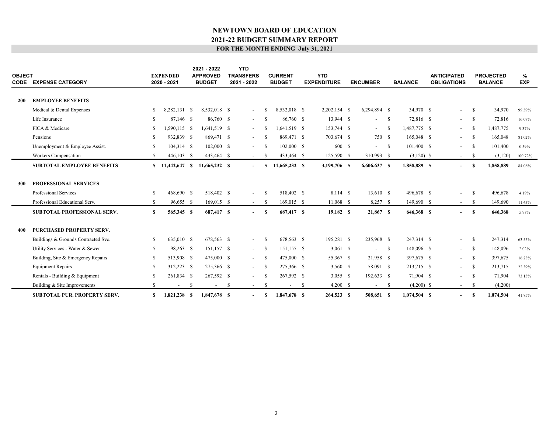| <b>OBJECT</b> | <b>CODE EXPENSE CATEGORY</b>                                                            |                     | <b>EXPENDED</b><br>2020 - 2021 |    | 2021 - 2022<br><b>APPROVED</b><br><b>BUDGET</b> |    | <b>YTD</b><br><b>TRANSFERS</b><br>2021 - 2022 |              | <b>CURRENT</b><br><b>BUDGET</b> |    | <b>YTD</b><br><b>EXPENDITURE</b> | <b>ENCUMBER</b>          |              | <b>BALANCE</b>           | <b>ANTICIPATED</b><br><b>OBLIGATIONS</b> |              | <b>PROJECTED</b><br><b>BALANCE</b> | %<br><b>EXP</b> |  |
|---------------|-----------------------------------------------------------------------------------------|---------------------|--------------------------------|----|-------------------------------------------------|----|-----------------------------------------------|--------------|---------------------------------|----|----------------------------------|--------------------------|--------------|--------------------------|------------------------------------------|--------------|------------------------------------|-----------------|--|
| <b>200</b>    | <b>EMPLOYEE BENEFITS</b>                                                                |                     |                                |    |                                                 |    |                                               |              |                                 |    |                                  |                          |              |                          |                                          |              |                                    |                 |  |
|               | Medical & Dental Expenses                                                               | S.                  | 8,282,131 \$                   |    | 8,532,018 \$                                    |    | $\sim$                                        | -S           | 8,532,018 \$                    |    | $2,202,154$ \$                   | 6,294,894 \$             |              | 34,970 \$                | $\sim$                                   | - \$         | 34,970                             | 99.59%          |  |
|               | Life Insurance                                                                          | <sup>S</sup>        | 87,146 \$                      |    | 86,760 \$                                       |    | $\sim$                                        | -S           | 86,760 \$                       |    | 13,944 \$                        | $\overline{\phantom{a}}$ | - S          | 72,816 \$                | $\sim$ $-$                               | - S          | 72,816                             | 16.07%          |  |
|               | FICA & Medicare                                                                         | -S                  | 1,590,115 \$                   |    | 1,641,519 \$                                    |    |                                               | -8           | 1,641,519 \$                    |    | 153,744 \$                       |                          |              | 1,487,775 \$             |                                          | -S           | 1,487,775                          |                 |  |
|               | Pensions                                                                                |                     |                                |    |                                                 |    | $\sim$                                        |              |                                 |    |                                  | $\sim$                   | - \$         |                          | $\sim$                                   |              |                                    | 9.37%           |  |
|               |                                                                                         | -S                  | 932,839 \$                     |    | 869,471 \$                                      |    | $\overline{\phantom{a}}$                      | -8           | 869,471 \$                      |    | 703,674 \$                       | 750 \$                   |              | 165,048 \$               | $\sim$                                   | - S          | 165,048                            | 81.02%          |  |
|               | Unemployment & Employee Assist.                                                         | S.                  | $104,314$ \$                   |    | $102,000$ \$                                    |    | $\overline{\phantom{a}}$                      | -S           | $102,000$ \$                    |    | 600 \$                           | $- S$                    |              | 101,400 \$               | $\sim$                                   | - \$         | 101,400                            | 0.59%           |  |
|               | Workers Compensation                                                                    | $\mathbb{S}$        | $446,103$ \$                   |    | 433,464 \$                                      |    | $\sim$                                        | -8           | 433,464 \$                      |    | 125,590 \$                       | 310,993 \$               |              | $(3,120)$ \$             | $\sim$                                   | - \$         | (3,120)                            | 100.72%         |  |
|               | <b>SUBTOTAL EMPLOYEE BENEFITS</b>                                                       | S.                  | 11,442,647 \$                  |    | 11,665,232 \$                                   |    | $\sim$                                        | -S           | 11,665,232 \$                   |    | 3,199,706 \$                     | 6,606,637 \$             |              | 1,858,889 \$             | $\overline{\phantom{a}}$                 | -S           | 1,858,889                          | 84.06%          |  |
| 300           | <b>PROFESSIONAL SERVICES</b><br>Professional Services<br>Professional Educational Serv. | <sup>\$</sup><br>\$ | 468,690 \$<br>96,655 \$        |    | 518,402 \$<br>$169,015$ \$                      |    | $\overline{\phantom{a}}$                      | -S<br>-S     | 518,402 \$<br>$169,015$ \$      |    | 8,114 \$<br>11,068 \$            | 13,610 \$<br>$8,257$ \$  |              | 496,678 \$<br>149,690 \$ |                                          | - \$<br>- \$ | 496,678<br>149,690                 | 4.19%<br>11.43% |  |
|               | <b>SUBTOTAL PROFESSIONAL SERV.</b>                                                      | \$                  | 565,345 \$                     |    | 687,417 \$                                      |    | $\sim$<br>$\sim$                              | $\mathbf{s}$ | 687,417 \$                      |    | 19,182 \$                        | $21,867$ \$              |              | 646,368 \$               | $\sim$<br>$\overline{\phantom{a}}$       | -S           | 646,368                            | 5.97%           |  |
| 400           | <b>PURCHASED PROPERTY SERV.</b><br>Buildings & Grounds Contracted Svc.                  | \$                  | 635,010 \$                     |    | 678,563 \$                                      |    |                                               | -S           | 678,563 \$                      |    | 195,281 \$                       | 235,968 \$               |              | 247,314 \$               |                                          | -S           | 247,314                            | 63.55%          |  |
|               | Utility Services - Water & Sewer                                                        | \$                  | 98,263 \$                      |    | 151,157 \$                                      |    | $\sim$                                        | -S           | 151,157 \$                      |    | $3,061$ \$                       | $\overline{\phantom{a}}$ | $\mathbf{s}$ | 148,096 \$               | $\sim$                                   | - S          | 148,096                            | 2.02%           |  |
|               | Building, Site & Emergency Repairs                                                      | <sup>\$</sup>       | 513,908 \$                     |    | 475,000 \$                                      |    | $\sim$                                        | -S           | 475,000 \$                      |    | 55,367 \$                        | 21,958 \$                |              | 397,675 \$               | $\sim$                                   | - S          | 397,675                            | 16.28%          |  |
|               | <b>Equipment Repairs</b>                                                                | S                   | 312,223 \$                     |    | 275,366 \$                                      |    | $\sim$                                        | -S           | 275,366 \$                      |    | 3,560 \$                         | 58,091 \$                |              | 213,715 \$               | $\sim$                                   | - S          | 213,715                            | 22.39%          |  |
|               | Rentals - Building & Equipment                                                          | S                   | 261,834 \$                     |    | 267,592 \$                                      |    | $\sim$                                        | <sup>S</sup> | 267,592 \$                      |    | $3,055$ \$                       | 192,633 \$               |              | 71,904 \$                | $\overline{\phantom{a}}$                 | $\mathbf{s}$ | 71,904                             | 73.13%          |  |
|               | Building & Site Improvements                                                            | S.                  |                                | -S | $\overline{\phantom{a}}$                        | -S | $\sim$                                        | -8           | $\overline{\phantom{a}}$        | -S | $4,200$ \$                       | $\sim$                   | - \$         | $(4,200)$ \$             | $\sim$                                   | -S           | (4,200)                            |                 |  |
|               | <b>SUBTOTAL PUR. PROPERTY SERV.</b>                                                     | $\mathbf{s}$        | 1.821.238 \$                   |    | 1.847.678 \$                                    |    | $\overline{\phantom{a}}$                      | -S           | 1.847,678 \$                    |    | 264,523 \$                       | 508,651 \$               |              | 1.074.504 \$             | $\overline{\phantom{a}}$                 | S            | 1,074,504                          | 41.85%          |  |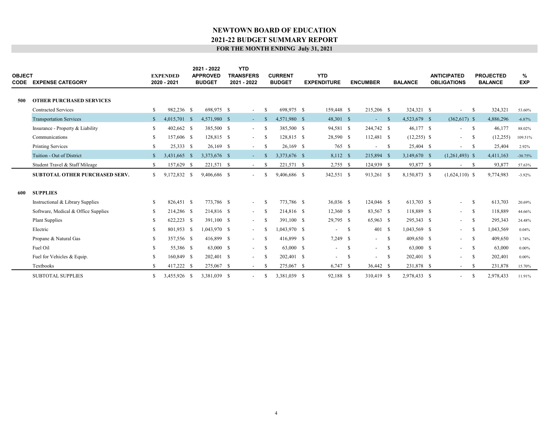| <b>OBJECT</b><br><b>CODE</b> | <b>EXPENSE CATEGORY</b>               |               | <b>EXPENDED</b><br>2020 - 2021 | 2021 - 2022<br><b>APPROVED</b><br><b>BUDGET</b> | <b>YTD</b><br><b>TRANSFERS</b><br>2021 - 2022 |               | <b>CURRENT</b><br><b>BUDGET</b> | <b>YTD</b><br><b>EXPENDITURE</b> |               | <b>ENCUMBER</b>          |            | <b>BALANCE</b> | <b>ANTICIPATED</b><br><b>OBLIGATIONS</b> |              | <b>PROJECTED</b><br><b>BALANCE</b> | %<br><b>EXP</b> |  |
|------------------------------|---------------------------------------|---------------|--------------------------------|-------------------------------------------------|-----------------------------------------------|---------------|---------------------------------|----------------------------------|---------------|--------------------------|------------|----------------|------------------------------------------|--------------|------------------------------------|-----------------|--|
|                              |                                       |               |                                |                                                 |                                               |               |                                 |                                  |               |                          |            |                |                                          |              |                                    |                 |  |
| 500                          | <b>OTHER PURCHASED SERVICES</b>       |               |                                |                                                 |                                               |               |                                 |                                  |               |                          |            |                |                                          |              |                                    |                 |  |
|                              | <b>Contracted Services</b>            | <sup>\$</sup> | 982,236 \$                     | 698.975 \$                                      | $\sim$                                        | -S            | 698,975 \$                      | 159,448 \$                       |               | 215,206 \$               |            | 324,321 \$     |                                          | - S          | 324,321                            | 53.60%          |  |
|                              | <b>Transportation Services</b>        | $\mathbb{S}$  | 4,015,701 \$                   | 4.571.980 \$                                    | $\sim 100$                                    | - \$          | 4,571,980 \$                    | 48,301 \$                        |               | $-$ \$                   |            | 4,523,679 \$   | $(362,617)$ \$                           |              | 4,886,296                          | $-6.87%$        |  |
|                              | Insurance - Property & Liability      | <sup>\$</sup> | 402,662 \$                     | 385,500 \$                                      | $\sim$                                        | -S            | 385,500 \$                      | 94,581 \$                        |               | 244,742 \$               |            | 46,177 \$      | $\overline{\phantom{a}}$                 | $\mathbf{s}$ | 46,177                             | 88.02%          |  |
|                              | Communications                        | \$.           | 157,606 \$                     | 128,815 \$                                      | $\sim$                                        | <sup>S</sup>  | 128,815 \$                      | 28,590 \$                        |               | 112,481 \$               |            | $(12,255)$ \$  | $\sim$                                   | - S          | (12, 255)                          | 109.51%         |  |
|                              | <b>Printing Services</b>              | \$            | 25,333 \$                      | 26,169 \$                                       | $\sim$                                        | -S            | $26,169$ \$                     | 765 \$                           |               | $\overline{\phantom{a}}$ | -S         | 25,404 \$      | $\sim$                                   | - \$         | 25,404                             | 2.92%           |  |
|                              | Tuition - Out of District             | $\mathbb{S}$  | 3,431,665 \$                   | 3,373,676 \$                                    | $\sim$                                        | -8            | 3,373,676 \$                    | 8,112 \$                         |               | 215,894 \$               |            | 3,149,670 \$   | $(1,261,493)$ \$                         |              | 4,411,163                          | $-30.75%$       |  |
|                              | Student Travel & Staff Mileage        | <sup>S</sup>  | 157,629 \$                     | 221,571 \$                                      | $\sim$                                        | -S            | 221,571 \$                      | $2,755$ \$                       |               | 124,939 \$               |            | 93,877 \$      | - \$<br>$\sim$                           |              | 93,877                             | 57.63%          |  |
|                              | <b>SUBTOTAL OTHER PURCHASED SERV.</b> | S.            | 9,172,832 \$                   | 9,406,686 \$                                    | $\sim$                                        | <sup>S</sup>  | 9,406,686 \$                    | 342,551 \$                       |               | 913,261 \$               |            | 8,150,873 \$   | $(1,624,110)$ \$                         |              | 9,774,983                          | $-3.92%$        |  |
| 600                          | <b>SUPPLIES</b>                       |               |                                |                                                 |                                               |               |                                 |                                  |               |                          |            |                |                                          |              |                                    |                 |  |
|                              | Instructional & Library Supplies      | <sup>\$</sup> | 826,451 \$                     | 773,786 \$                                      | $\overline{\phantom{a}}$                      | -S            | 773,786 \$                      | 36,036 \$                        |               | 124,046 \$               |            | 613,703 \$     | $\overline{\phantom{a}}$                 | - S          | 613,703                            | 20.69%          |  |
|                              | Software, Medical & Office Supplies   | <sup>\$</sup> | 214,286 \$                     | 214,816 \$                                      | $\sim$                                        | -8            | 214,816 \$                      | $12,360$ \$                      |               | 83,567 \$                |            | 118,889 \$     | $\sim 100$                               | - S          | 118,889                            | 44.66%          |  |
|                              | <b>Plant Supplies</b>                 | <sup>\$</sup> | 622,223 \$                     | 391,100 \$                                      | $\sim$                                        | -S            | 391,100 \$                      | 29,795 \$                        |               | 65,963 \$                |            | 295,343 \$     | $\sim$                                   | - S          | 295,343                            | 24.48%          |  |
|                              | Electric                              | S             | 801,953 \$                     | 1,043,970 \$                                    | $\sim$                                        | -8            | 1.043.970 \$                    | $\overline{\phantom{a}}$         | - S           | 401 \$                   |            | 1,043,569 \$   | $\sim$                                   | - \$         | 1,043,569                          | 0.04%           |  |
|                              | Propane & Natural Gas                 | <sup>\$</sup> | 357,556 \$                     | 416,899 \$                                      | $\sim$                                        | -S            | 416,899 \$                      | $7,249$ \$                       |               | $\sim 100$               | $^{\circ}$ | 409,650 \$     | $\sim 100$                               | - S          | 409,650                            | 1.74%           |  |
|                              | Fuel Oil                              | S             | 55,386 \$                      | 63,000 \$                                       | $\sim$                                        | <sup>\$</sup> | 63,000 \$                       | $-$                              | - \$          | $\sim$                   | - \$       | 63,000 \$      | $- S$                                    |              | 63,000                             | $0.00\%$        |  |
|                              | Fuel for Vehicles & Equip.            | S             | 160,849 \$                     | 202,401 \$                                      | $\overline{\phantom{0}}$                      | -S            | 202,401 \$                      |                                  | <sup>\$</sup> | $\overline{\phantom{0}}$ | -S         | 202,401 \$     | $\sim$                                   | - S          | 202,401                            | $0.00\%$        |  |
|                              | Textbooks                             | <sup>\$</sup> | 417,222 \$                     | 275,067 \$                                      | $\sim$                                        | -8            | 275,067 \$                      | $6,747$ \$                       |               | 36,442 \$                |            | 231,878 \$     | $\sim$                                   | -S           | 231,878                            | 15.70%          |  |
|                              | <b>SUBTOTAL SUPPLIES</b>              | <sup>\$</sup> | 3.455.926 \$                   | 3.381,039 \$                                    | $\overline{\phantom{a}}$                      | <sup>\$</sup> | 3.381.039 \$                    | 92.188 \$                        |               | 310.419 \$               |            | 2.978.433 \$   |                                          | £.           | 2.978.433                          | 11.91%          |  |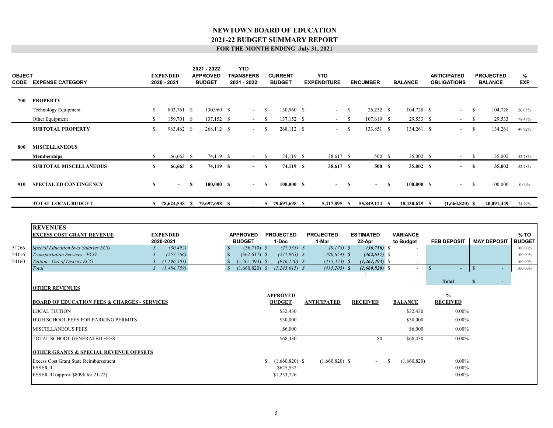| <b>OBJECT</b>           | <b>CODE EXPENSE CATEGORY</b>                                                                                                                                          |                                                     | <b>EXPENDED</b><br>2020 - 2021                                                           |              | 2021 - 2022<br><b>APPROVED</b><br><b>BUDGET</b> |                                                               | <b>YTD</b><br><b>TRANSFERS</b><br>2021 - 2022                                                               |      | <b>CURRENT</b><br><b>BUDGET</b>                                                                         | <b>YTD</b><br><b>EXPENDITURE</b>                                                                 |          | <b>ENCUMBER</b>                                                                                        |               | <b>BALANCE</b>                         |                | <b>ANTICIPATED</b><br><b>OBLIGATIONS</b> |               | <b>PROJECTED</b><br><b>BALANCE</b> | %<br><b>EXP</b>                                                   |
|-------------------------|-----------------------------------------------------------------------------------------------------------------------------------------------------------------------|-----------------------------------------------------|------------------------------------------------------------------------------------------|--------------|-------------------------------------------------|---------------------------------------------------------------|-------------------------------------------------------------------------------------------------------------|------|---------------------------------------------------------------------------------------------------------|--------------------------------------------------------------------------------------------------|----------|--------------------------------------------------------------------------------------------------------|---------------|----------------------------------------|----------------|------------------------------------------|---------------|------------------------------------|-------------------------------------------------------------------|
| 700                     | <b>PROPERTY</b>                                                                                                                                                       |                                                     |                                                                                          |              |                                                 |                                                               |                                                                                                             |      |                                                                                                         |                                                                                                  |          |                                                                                                        |               |                                        |                |                                          |               |                                    |                                                                   |
|                         | Technology Equipment                                                                                                                                                  | \$                                                  | 803,761 \$                                                                               |              | 130,960 \$                                      |                                                               | $\sim$                                                                                                      | - \$ | 130,960 \$                                                                                              |                                                                                                  | - \$     | $26,232$ \$                                                                                            |               | 104,728 \$                             |                | $\overline{\phantom{a}}$                 | - \$          | 104,728                            | 20.03%                                                            |
|                         | Other Equipment                                                                                                                                                       | <sup>S</sup>                                        | 159,701 \$                                                                               |              | 137,152 \$                                      |                                                               | $-$ \$                                                                                                      |      | 137,152 \$                                                                                              | $-$ \$                                                                                           |          | $107,619$ \$                                                                                           |               | 29,533 \$                              |                | $\overline{\phantom{a}}$                 | - S           | 29,533                             | 78.47%                                                            |
|                         | <b>SUBTOTAL PROPERTY</b>                                                                                                                                              | $\mathbb{S}$                                        | 963,462 \$                                                                               |              | 268,112 \$                                      |                                                               | $-$ \$                                                                                                      |      | 268,112 \$                                                                                              | $-$ \$                                                                                           |          | 133,851 \$                                                                                             |               | 134,261 \$                             |                | $-$ \$                                   |               | 134,261                            | 49.92%                                                            |
| 800                     | <b>MISCELLANEOUS</b>                                                                                                                                                  |                                                     |                                                                                          |              |                                                 |                                                               |                                                                                                             |      |                                                                                                         |                                                                                                  |          |                                                                                                        |               |                                        |                |                                          |               |                                    |                                                                   |
|                         | <b>Memberships</b>                                                                                                                                                    | <sup>\$</sup>                                       | 66,663 \$                                                                                |              | 74,119 \$                                       |                                                               | $-$ \$                                                                                                      |      | 74,119 \$                                                                                               | 38,617 \$                                                                                        |          | 500 \$                                                                                                 |               | 35,002 \$                              |                | $\sim$ 100 $\mu$                         | - S           | 35,002                             | 52.78%                                                            |
|                         | <b>SUBTOTAL MISCELLANEOUS</b>                                                                                                                                         | $\mathbf{s}$                                        | 66,663 S                                                                                 |              | 74,119 \$                                       |                                                               | $-$ S                                                                                                       |      | 74,119 \$                                                                                               | 38,617 S                                                                                         |          | 500 S                                                                                                  |               | 35,002 \$                              |                |                                          | $\mathbf{s}$  | 35,002                             | 52.78%                                                            |
| 910                     | <b>SPECIAL ED CONTINGENCY</b>                                                                                                                                         | $\mathbf{s}$                                        |                                                                                          | $\mathbf{s}$ | 100,000 S                                       |                                                               |                                                                                                             | -S   | 100,000 S                                                                                               |                                                                                                  | <b>S</b> | $\sim 100$                                                                                             | S             | 100,000 S                              |                | $\sim$                                   | <sup>\$</sup> | 100,000                            | $0.00\%$                                                          |
|                         | <b>TOTAL LOCAL BUDGET</b>                                                                                                                                             |                                                     |                                                                                          |              | \$ 78,624,538 \$ 79,697,698 \$                  |                                                               | $\sim 100$                                                                                                  |      | \$ 79,697,698 \$                                                                                        | 5,417,895 \$                                                                                     |          | 55,849,174 \$                                                                                          |               | 18,430,629 \$                          |                | $(1,660,820)$ \$                         |               | 20,091,449                         | 74.79%                                                            |
| 51266<br>54116<br>54160 | <b>REVENUES</b><br><b>EXCESS COST GRANT REVENUE</b><br>Special Education Svcs Salaries ECG<br>Transportation Services - ECG<br>Tuition - Out of District ECG<br>Total | $\mathcal{S}_{0}$<br>$\mathcal{S}$<br>$\mathcal{S}$ | <b>EXPENDED</b><br>2020-2021<br>(30, 492)<br>(257,766)<br>(1, 196, 501)<br>\$(1,484,759) |              |                                                 | $\mathcal{S}$<br>$\mathbb{S}$<br>$\mathbf{s}$<br><sup>S</sup> | <b>APPROVED</b><br><b>BUDGET</b><br>$(36,710)$ \$<br>$(362,617)$ \$<br>$(1,261,493)$ \$<br>$(1,660,820)$ \$ |      | <b>PROJECTED</b><br>1-Dec<br>$(27, 533)$ \$<br>$(271, 963)$ \$<br>$(946, 120)$ \$<br>$(1, 245, 615)$ \$ | <b>PROJECTED</b><br>1-Mar<br>$(9,178)$ \$<br>$(90, 654)$ \$<br>$(315, 373)$ \$<br>$(415,205)$ \$ |          | <b>ESTIMATED</b><br>22-Apr<br>$(36,710)$ \$<br>$(362, 617)$ \$<br>$(1,261,493)$ \$<br>$(1,660,820)$ \$ |               | <b>VARIANCE</b><br>to Budget<br>$\sim$ | $\blacksquare$ | <b>FEB DEPOSIT</b>                       | $\sqrt{S}$    | <b>MAY DEPOSIT</b>                 | % TO<br><b>BUDGET</b><br>100.00%<br>100.00%<br>100.00%<br>100.00% |
|                         | <b>OTHER REVENUES</b>                                                                                                                                                 |                                                     |                                                                                          |              |                                                 |                                                               |                                                                                                             |      |                                                                                                         |                                                                                                  |          |                                                                                                        |               |                                        |                | <b>Total</b>                             | S             | $\sim$                             |                                                                   |
|                         | <b>BOARD OF EDUCATION FEES &amp; CHARGES - SERVICES</b>                                                                                                               |                                                     |                                                                                          |              |                                                 |                                                               |                                                                                                             |      | <b>APPROVED</b><br><b>BUDGET</b>                                                                        | <b>ANTICIPATED</b>                                                                               |          | <b>RECEIVED</b>                                                                                        |               | <b>BALANCE</b>                         |                | $\%$<br><b>RECEIVED</b>                  |               |                                    |                                                                   |
|                         | <b>LOCAL TUITION</b>                                                                                                                                                  |                                                     |                                                                                          |              |                                                 |                                                               |                                                                                                             |      | \$32,430                                                                                                |                                                                                                  |          |                                                                                                        |               | \$32,430                               |                | $0.00\%$                                 |               |                                    |                                                                   |
|                         | HIGH SCHOOL FEES FOR PARKING PERMITS                                                                                                                                  |                                                     |                                                                                          |              |                                                 |                                                               |                                                                                                             |      | \$30,000                                                                                                |                                                                                                  |          |                                                                                                        |               | \$30,000                               |                | $0.00\%$                                 |               |                                    |                                                                   |
|                         | MISCELLANEOUS FEES                                                                                                                                                    |                                                     |                                                                                          |              |                                                 |                                                               |                                                                                                             |      | \$6,000                                                                                                 |                                                                                                  |          |                                                                                                        |               | \$6,000                                |                | $0.00\%$                                 |               |                                    |                                                                   |
|                         | TOTAL SCHOOL GENERATED FEES                                                                                                                                           |                                                     |                                                                                          |              |                                                 |                                                               |                                                                                                             |      | \$68,430                                                                                                |                                                                                                  |          | \$0                                                                                                    |               | \$68,430                               |                | $0.00\%$                                 |               |                                    |                                                                   |
|                         | <b>OTHER GRANTS &amp; SPECIAL REVENUE OFFSETS</b><br>Excess Cost Grant State Reimbursement<br><b>ESSER II</b><br>ESSER III (approx \$809k for 21-22)                  |                                                     |                                                                                          |              |                                                 |                                                               |                                                                                                             |      | $$(1,660,820)$ \$<br>\$625,532<br>\$1,253,726                                                           | $(1,660,820)$ \$                                                                                 |          |                                                                                                        | <sup>\$</sup> | (1,660,820)                            |                | $0.00\%$<br>$0.00\%$<br>$0.00\%$         |               |                                    |                                                                   |